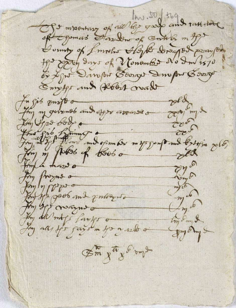Of moontany of all they guy and rathered of Egemant Harbour of South & m Apt Soundy of I mother Algeb Dragod prompt He sport days of Vonomber No In 1570 of Line Damport Borrow Sempre Borrow Emptys and Robert wad pld they my goinerob and offer arease a fu gib zong o 2000 ml the fight forming independent my soupond below polo on de the progress or the pool and pollers m 6 Hy go may a try Em & Joy alls for fairs m for a sent of July of 7 Em fut & o puly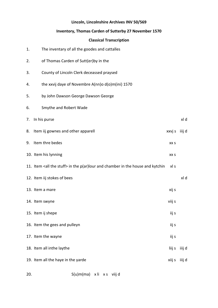### **Lincoln, Lincolnshire Archives INV 50/569**

# **Inventory, Thomas Carden of Sutterby 27 November 1570**

# **Classical Transcription**

| 1. | The inventary of all the goodes and cattalles                                              |        |        |
|----|--------------------------------------------------------------------------------------------|--------|--------|
| 2. | of Thomas Carden of Sutt(er) by in the                                                     |        |        |
| 3. | County of Lincoln Clerk deceassed praysed                                                  |        |        |
| 4. | the xxvij daye of Novembre A(nn)o d(o)m(ini) 1570                                          |        |        |
| 5. | by John Dawson George Dawson George                                                        |        |        |
| 6. | Smythe and Robert Wade                                                                     |        |        |
| 7. | In his purse                                                                               |        | xl d   |
| 8. | Item iij gownes and other apparell                                                         | xxvj s | iiij d |
| 9. | Item thre bedes                                                                            | XX S   |        |
|    | 10. Item his lynning                                                                       | XX S   |        |
|    | 11. Item <all stuff="" the=""> in the p(ar)lour and chamber in the house and kytchin</all> | xl s   |        |
|    | 12. Item iij stokes of bees                                                                |        | xl d   |
|    | 13. Item a mare                                                                            | xij s  |        |
|    | 14. Item swyne                                                                             | viij s |        |
|    | 15. Item ij shepe                                                                          | iij s  |        |
|    | 16. Item the gees and pulleyn                                                              | iij s  |        |
|    | 17. Item the wayne                                                                         | iij s  |        |
|    | 18. Item all inthe laythe                                                                  | liij s | iiij d |
|    | 19. Item all the haye in the yarde                                                         | xiij s | iiij d |
|    |                                                                                            |        |        |

20. S(u)m(ma) x li x s viij d